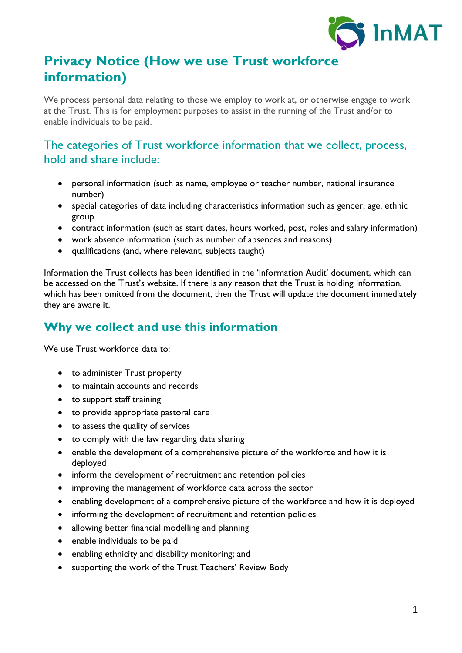

# **Privacy Notice (How we use Trust workforce information)**

We process personal data relating to those we employ to work at, or otherwise engage to work at the Trust. This is for employment purposes to assist in the running of the Trust and/or to enable individuals to be paid.

### The categories of Trust workforce information that we collect, process, hold and share include:

- personal information (such as name, employee or teacher number, national insurance number)
- special categories of data including characteristics information such as gender, age, ethnic group
- contract information (such as start dates, hours worked, post, roles and salary information)
- work absence information (such as number of absences and reasons)
- qualifications (and, where relevant, subjects taught)

Information the Trust collects has been identified in the 'Information Audit' document, which can be accessed on the Trust's website. If there is any reason that the Trust is holding information, which has been omitted from the document, then the Trust will update the document immediately they are aware it.

# **Why we collect and use this information**

We use Trust workforce data to:

- to administer Trust property
- to maintain accounts and records
- to support staff training
- to provide appropriate pastoral care
- to assess the quality of services
- to comply with the law regarding data sharing
- enable the development of a comprehensive picture of the workforce and how it is deployed
- inform the development of recruitment and retention policies
- improving the management of workforce data across the sector
- enabling development of a comprehensive picture of the workforce and how it is deployed
- informing the development of recruitment and retention policies
- allowing better financial modelling and planning
- enable individuals to be paid
- enabling ethnicity and disability monitoring; and
- supporting the work of the Trust Teachers' Review Body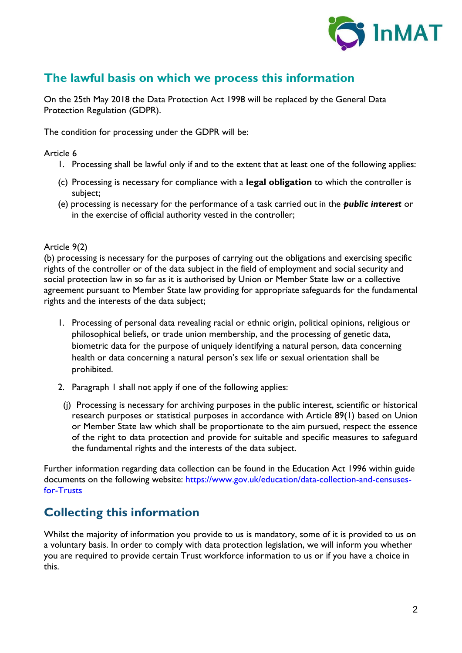

# **The lawful basis on which we process this information**

On the 25th May 2018 the Data Protection Act 1998 will be replaced by the General Data Protection Regulation (GDPR).

The condition for processing under the GDPR will be:

#### Article 6

- 1. Processing shall be lawful only if and to the extent that at least one of the following applies:
- (c) Processing is necessary for compliance with a **legal obligation** to which the controller is subject;
- (e) processing is necessary for the performance of a task carried out in the *public interest* or in the exercise of official authority vested in the controller;

#### Article 9(2)

(b) processing is necessary for the purposes of carrying out the obligations and exercising specific rights of the controller or of the data subject in the field of employment and social security and social protection law in so far as it is authorised by Union or Member State law or a collective agreement pursuant to Member State law providing for appropriate safeguards for the fundamental rights and the interests of the data subject;

- 1. Processing of personal data revealing racial or ethnic origin, political opinions, religious or philosophical beliefs, or trade union membership, and the processing of genetic data, biometric data for the purpose of uniquely identifying a natural person, data concerning health or data concerning a natural person's sex life or sexual orientation shall be prohibited.
- 2. Paragraph 1 shall not apply if one of the following applies:
- (j) Processing is necessary for archiving purposes in the public interest, scientific or historical research purposes or statistical purposes in accordance with Article 89(1) based on Union or Member State law which shall be proportionate to the aim pursued, respect the essence of the right to data protection and provide for suitable and specific measures to safeguard the fundamental rights and the interests of the data subject.

Further information regarding data collection can be found in the Education Act 1996 within guide documents on the following website: https://www.gov.uk/education/data-collection-and-censusesfor-Trusts

### **Collecting this information**

Whilst the majority of information you provide to us is mandatory, some of it is provided to us on a voluntary basis. In order to comply with data protection legislation, we will inform you whether you are required to provide certain Trust workforce information to us or if you have a choice in this.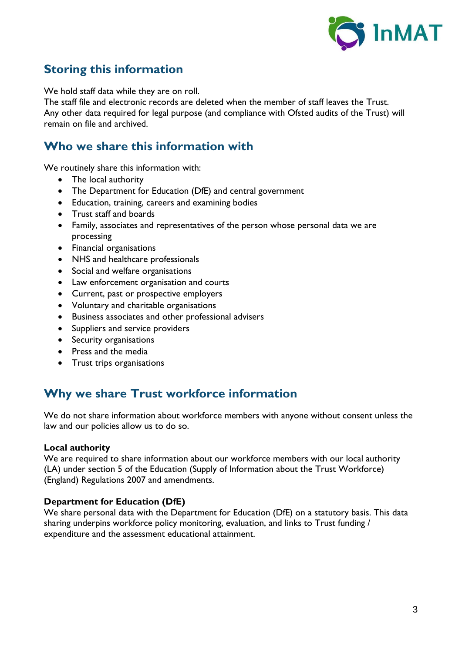

# **Storing this information**

We hold staff data while they are on roll.

The staff file and electronic records are deleted when the member of staff leaves the Trust. Any other data required for legal purpose (and compliance with Ofsted audits of the Trust) will remain on file and archived.

### **Who we share this information with**

We routinely share this information with:

- The local authority
- The Department for Education (DfE) and central government
- Education, training, careers and examining bodies
- Trust staff and boards
- Family, associates and representatives of the person whose personal data we are processing
- Financial organisations
- NHS and healthcare professionals
- Social and welfare organisations
- Law enforcement organisation and courts
- Current, past or prospective employers
- Voluntary and charitable organisations
- Business associates and other professional advisers
- Suppliers and service providers
- Security organisations
- Press and the media
- Trust trips organisations

# **Why we share Trust workforce information**

We do not share information about workforce members with anyone without consent unless the law and our policies allow us to do so.

#### **Local authority**

We are required to share information about our workforce members with our local authority (LA) under section 5 of the Education (Supply of Information about the Trust Workforce) (England) Regulations 2007 and amendments.

#### **Department for Education (DfE)**

We share personal data with the Department for Education (DfE) on a statutory basis. This data sharing underpins workforce policy monitoring, evaluation, and links to Trust funding / expenditure and the assessment educational attainment.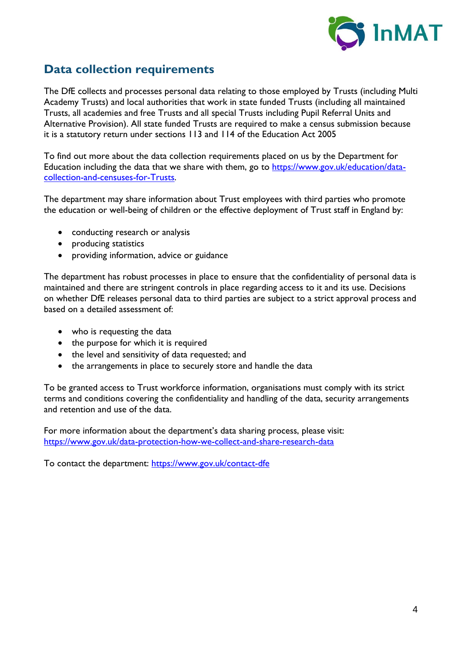

# **Data collection requirements**

The DfE collects and processes personal data relating to those employed by Trusts (including Multi Academy Trusts) and local authorities that work in state funded Trusts (including all maintained Trusts, all academies and free Trusts and all special Trusts including Pupil Referral Units and Alternative Provision). All state funded Trusts are required to make a census submission because it is a statutory return under sections 113 and 114 of the Education Act 2005

To find out more about the data collection requirements placed on us by the Department for Education including the data that we share with them, go to [https://www.gov.uk/education/data](https://www.gov.uk/education/data-collection-and-censuses-for-schools)[collection-and-censuses-for-Trusts.](https://www.gov.uk/education/data-collection-and-censuses-for-schools)

The department may share information about Trust employees with third parties who promote the education or well-being of children or the effective deployment of Trust staff in England by:

- conducting research or analysis
- producing statistics
- providing information, advice or guidance

The department has robust processes in place to ensure that the confidentiality of personal data is maintained and there are stringent controls in place regarding access to it and its use. Decisions on whether DfE releases personal data to third parties are subject to a strict approval process and based on a detailed assessment of:

- who is requesting the data
- the purpose for which it is required
- the level and sensitivity of data requested; and
- the arrangements in place to securely store and handle the data

To be granted access to Trust workforce information, organisations must comply with its strict terms and conditions covering the confidentiality and handling of the data, security arrangements and retention and use of the data.

For more information about the department's data sharing process, please visit: <https://www.gov.uk/data-protection-how-we-collect-and-share-research-data>

To contact the department:<https://www.gov.uk/contact-dfe>